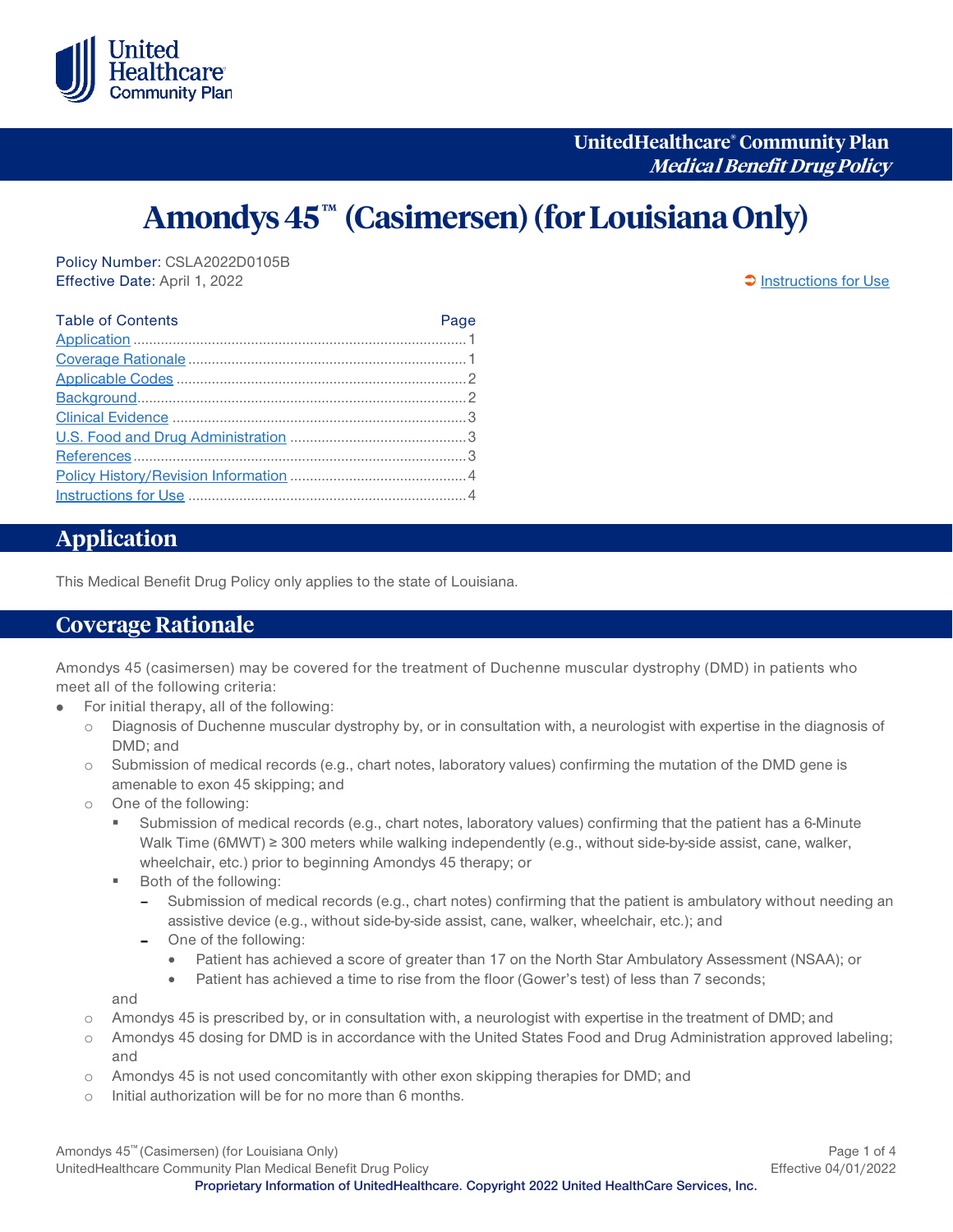

**UnitedHealthcare® Community Plan Medical Benefit Drug Policy**

# Amondys 45™ (Casimersen) (for Louisiana Only)

Policy Number: CSLA2022D0105B Effective Date: April 1, 2022 **Contained April 1, 2022 [Instructions for Use](#page-3-0)** 

| <b>Table of Contents</b> | Page |
|--------------------------|------|
|                          |      |
|                          |      |
|                          |      |
|                          |      |
|                          |      |
|                          |      |
|                          |      |
|                          |      |
|                          |      |

## <span id="page-0-0"></span>**Application**

This Medical Benefit Drug Policy only applies to the state of Louisiana.

#### <span id="page-0-1"></span>**Coverage Rationale**

Amondys 45 (casimersen) may be covered for the treatment of Duchenne muscular dystrophy (DMD) in patients who meet all of the following criteria:

- For initial therapy, all of the following:  $\bullet$ 
	- o Diagnosis of Duchenne muscular dystrophy by, or in consultation with, a neurologist with expertise in the diagnosis of DMD; and
	- o Submission of medical records (e.g., chart notes, laboratory values) confirming the mutation of the DMD gene is amenable to exon 45 skipping; and
	- o One of the following:
		- Submission of medical records (e.g., chart notes, laboratory values) confirming that the patient has a 6-Minute Walk Time (6MWT) ≥ 300 meters while walking independently (e.g., without side-by-side assist, cane, walker, wheelchair, etc.) prior to beginning Amondys 45 therapy; or
		- Both of the following:
			- Submission of medical records (e.g., chart notes) confirming that the patient is ambulatory without needing an assistive device (e.g., without side-by-side assist, cane, walker, wheelchair, etc.); and
			- One of the following:
				- Patient has achieved a score of greater than 17 on the North Star Ambulatory Assessment (NSAA); or
				- Patient has achieved a time to rise from the floor (Gower's test) of less than 7 seconds;

and

- o Amondys 45 is prescribed by, or in consultation with, a neurologist with expertise in the treatment of DMD; and
- o Amondys 45 dosing for DMD is in accordance with the United States Food and Drug Administration approved labeling; and
- o Amondys 45 is not used concomitantly with other exon skipping therapies for DMD; and
- o Initial authorization will be for no more than 6 months.

Amondys 45™ (Casimersen) (for Louisiana Only) and the community of 4 and the community of 4 and the community Page 1 of 4 UnitedHealthcare Community Plan Medical Benefit Drug Policy **Effective 04/01/2022 Proprietary Information of UnitedHealthcare. Copyright 2022 United HealthCare Services, Inc.**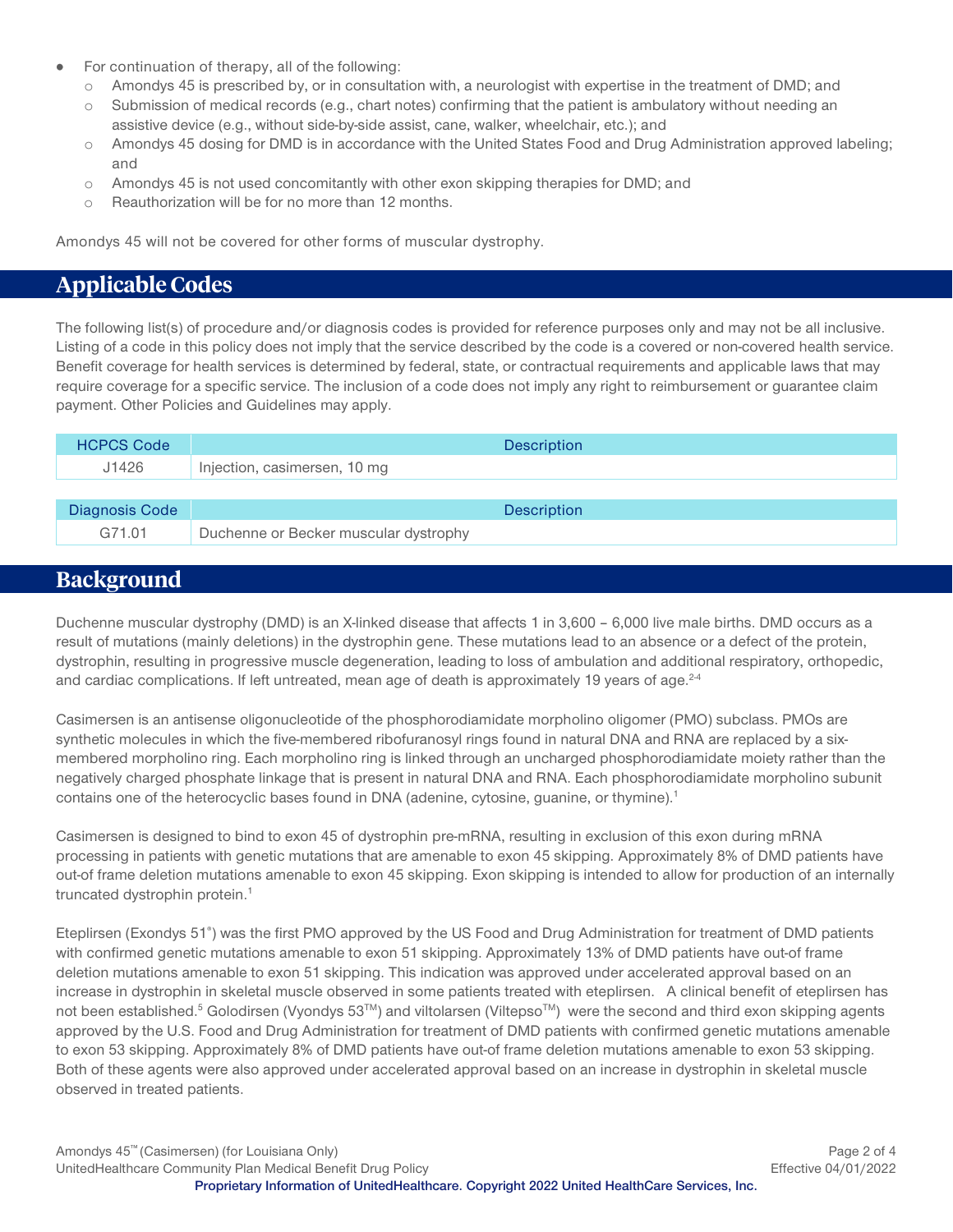- For continuation of therapy, all of the following:
	- o Amondys 45 is prescribed by, or in consultation with, a neurologist with expertise in the treatment of DMD; and
	- o Submission of medical records (e.g., chart notes) confirming that the patient is ambulatory without needing an assistive device (e.g., without side-by-side assist, cane, walker, wheelchair, etc.); and
	- o Amondys 45 dosing for DMD is in accordance with the United States Food and Drug Administration approved labeling; and
	- $\circ$  Amondys 45 is not used concomitantly with other exon skipping therapies for DMD; and
	- o Reauthorization will be for no more than 12 months.

Amondys 45 will not be covered for other forms of muscular dystrophy.

## <span id="page-1-0"></span>**Applicable Codes**

<span id="page-1-1"></span>The following list(s) of procedure and/or diagnosis codes is provided for reference purposes only and may not be all inclusive. Listing of a code in this policy does not imply that the service described by the code is a covered or non-covered health service. Benefit coverage for health services is determined by federal, state, or contractual requirements and applicable laws that may require coverage for a specific service. The inclusion of a code does not imply any right to reimbursement or guarantee claim payment. Other Policies and Guidelines may apply.

| <b>HCPCS Code</b> | <b>Description</b>                    |
|-------------------|---------------------------------------|
| J1426             | Injection, casimersen, 10 mg          |
|                   |                                       |
| Diagnosis Code    | <b>Description</b>                    |
| G71.01            | Duchenne or Becker muscular dystrophy |

#### **Background**

Duchenne muscular dystrophy (DMD) is an X-linked disease that affects 1 in 3,600 – 6,000 live male births. DMD occurs as a result of mutations (mainly deletions) in the dystrophin gene. These mutations lead to an absence or a defect of the protein, dystrophin, resulting in progressive muscle degeneration, leading to loss of ambulation and additional respiratory, orthopedic, and cardiac complications. If left untreated, mean age of death is approximately 19 years of age. $24$ 

Casimersen is an antisense oligonucleotide of the phosphorodiamidate morpholino oligomer (PMO) subclass. PMOs are synthetic molecules in which the five-membered ribofuranosyl rings found in natural DNA and RNA are replaced by a sixmembered morpholino ring. Each morpholino ring is linked through an uncharged phosphorodiamidate moiety rather than the negatively charged phosphate linkage that is present in natural DNA and RNA. Each phosphorodiamidate morpholino subunit contains one of the heterocyclic bases found in DNA (adenine, cytosine, guanine, or thymine).<sup>1</sup>

Casimersen is designed to bind to exon 45 of dystrophin pre-mRNA, resulting in exclusion of this exon during mRNA processing in patients with genetic mutations that are amenable to exon 45 skipping. Approximately 8% of DMD patients have out-of frame deletion mutations amenable to exon 45 skipping. Exon skipping is intended to allow for production of an internally truncated dystrophin protein.<sup>1</sup>

Eteplirsen (Exondys 51<sup>e</sup>) was the first PMO approved by the US Food and Drug Administration for treatment of DMD patients with confirmed genetic mutations amenable to exon 51 skipping. Approximately 13% of DMD patients have out-of frame deletion mutations amenable to exon 51 skipping. This indication was approved under accelerated approval based on an increase in dystrophin in skeletal muscle observed in some patients treated with eteplirsen. A clinical benefit of eteplirsen has not been established.<sup>5</sup> Golodirsen (Vyondys 53™) and viltolarsen (Viltepso™) were the second and third exon skipping agents approved by the U.S. Food and Drug Administration for treatment of DMD patients with confirmed genetic mutations amenable to exon 53 skipping. Approximately 8% of DMD patients have out-of frame deletion mutations amenable to exon 53 skipping. Both of these agents were also approved under accelerated approval based on an increase in dystrophin in skeletal muscle observed in treated patients.

Amondys 45™ (Casimersen) (for Louisiana Only) Page 2 of 4 UnitedHealthcare Community Plan Medical Benefit Drug Policy **Effective 04/01/2022 Proprietary Information of UnitedHealthcare. Copyright 2022 United HealthCare Services, Inc.**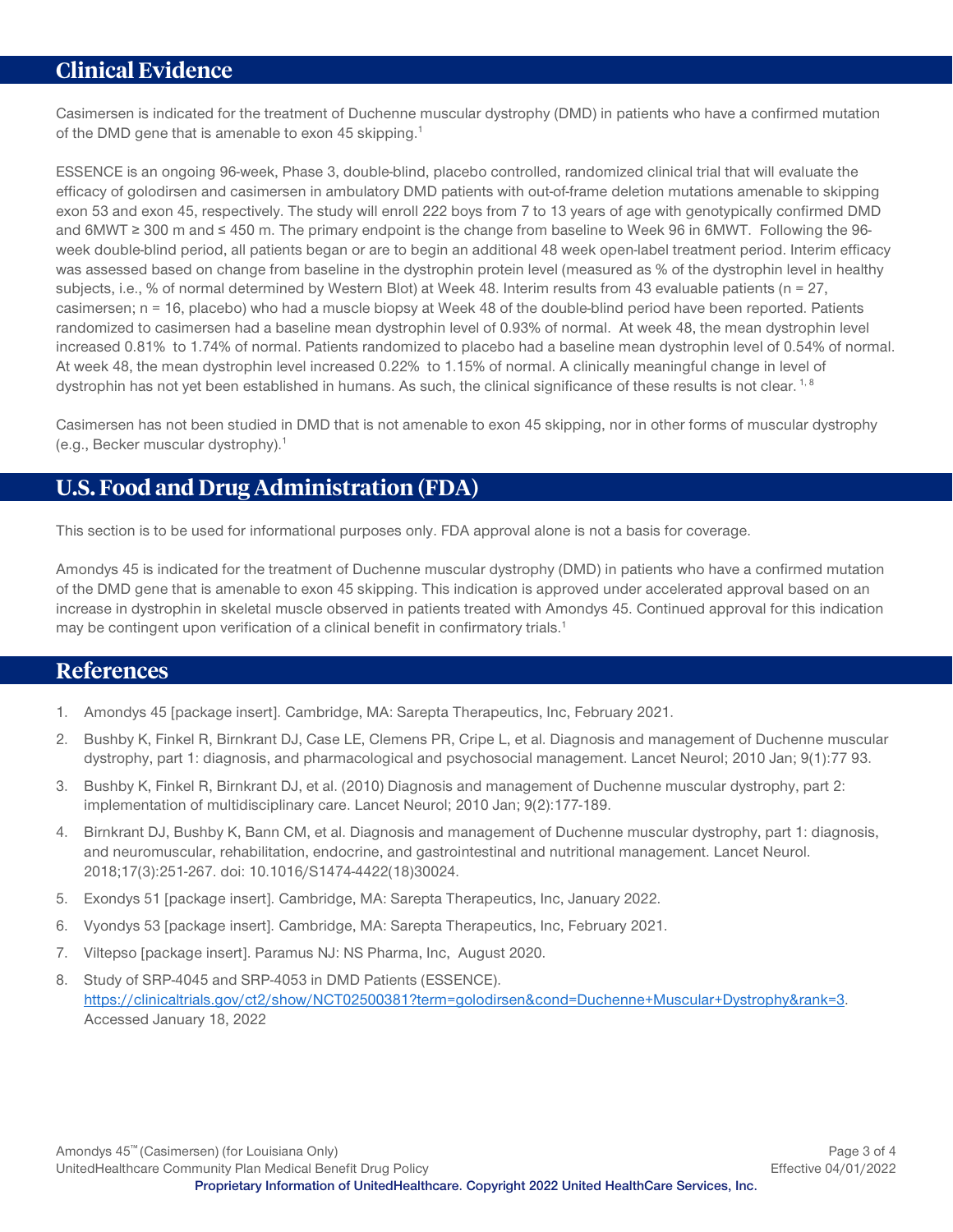#### <span id="page-2-0"></span>**Clinical Evidence**

Casimersen is indicated for the treatment of Duchenne muscular dystrophy (DMD) in patients who have a confirmed mutation of the DMD gene that is amenable to exon 45 skipping.<sup>1</sup>

ESSENCE is an ongoing 96-week, Phase 3, double-blind, placebo controlled, randomized clinical trial that will evaluate the efficacy of golodirsen and casimersen in ambulatory DMD patients with out-of-frame deletion mutations amenable to skipping exon 53 and exon 45, respectively. The study will enroll 222 boys from 7 to 13 years of age with genotypically confirmed DMD and 6MWT ≥ 300 m and ≤ 450 m. The primary endpoint is the change from baseline to Week 96 in 6MWT. Following the 96 week double-blind period, all patients began or are to begin an additional 48 week open-label treatment period. Interim efficacy was assessed based on change from baseline in the dystrophin protein level (measured as % of the dystrophin level in healthy subjects, i.e., % of normal determined by Western Blot) at Week 48. Interim results from 43 evaluable patients (n = 27, casimersen; n = 16, placebo) who had a muscle biopsy at Week 48 of the double-blind period have been reported. Patients randomized to casimersen had a baseline mean dystrophin level of 0.93% of normal. At week 48, the mean dystrophin level increased 0.81% to 1.74% of normal. Patients randomized to placebo had a baseline mean dystrophin level of 0.54% of normal. At week 48, the mean dystrophin level increased 0.22% to 1.15% of normal. A clinically meaningful change in level of dystrophin has not yet been established in humans. As such, the clinical significance of these results is not clear. <sup>1, 8</sup>

Casimersen has not been studied in DMD that is not amenable to exon 45 skipping, nor in other forms of muscular dystrophy (e.g., Becker muscular dystrophy).1

#### <span id="page-2-1"></span>**U.S. Food and Drug Administration (FDA)**

This section is to be used for informational purposes only. FDA approval alone is not a basis for coverage.

Amondys 45 is indicated for the treatment of Duchenne muscular dystrophy (DMD) in patients who have a confirmed mutation of the DMD gene that is amenable to exon 45 skipping. This indication is approved under accelerated approval based on an increase in dystrophin in skeletal muscle observed in patients treated with Amondys 45. Continued approval for this indication may be contingent upon verification of a clinical benefit in confirmatory trials.<sup>1</sup>

#### <span id="page-2-2"></span>**References**

- 1. Amondys 45 [package insert]. Cambridge, MA: Sarepta Therapeutics, Inc, February 2021.
- 2. Bushby K, Finkel R, Birnkrant DJ, Case LE, Clemens PR, Cripe L, et al. Diagnosis and management of Duchenne muscular dystrophy, part 1: diagnosis, and pharmacological and psychosocial management. Lancet Neurol; 2010 Jan; 9(1):77 93.
- 3. Bushby K, Finkel R, Birnkrant DJ, et al. (2010) Diagnosis and management of Duchenne muscular dystrophy, part 2: implementation of multidisciplinary care. Lancet Neurol; 2010 Jan; 9(2):177-189.
- 4. Birnkrant DJ, Bushby K, Bann CM, et al. Diagnosis and management of Duchenne muscular dystrophy, part 1: diagnosis, and neuromuscular, rehabilitation, endocrine, and gastrointestinal and nutritional management. Lancet Neurol. 2018;17(3):251-267. doi: 10.1016/S1474-4422(18)30024.
- 5. Exondys 51 [package insert]. Cambridge, MA: Sarepta Therapeutics, Inc, January 2022.
- 6. Vyondys 53 [package insert]. Cambridge, MA: Sarepta Therapeutics, Inc, February 2021.
- 7. Viltepso [package insert]. Paramus NJ: NS Pharma, Inc, August 2020.
- 8. Study of SRP-4045 and SRP-4053 in DMD Patients (ESSENCE). [https://clinicaltrials.gov/ct2/show/NCT02500381?term=golodirsen&cond=Duchenne+Muscular+Dystrophy&rank=3.](https://clinicaltrials.gov/ct2/show/NCT02500381?term=golodirsen&cond=Duchenne+Muscular+Dystrophy&rank=3) Accessed January 18, 2022